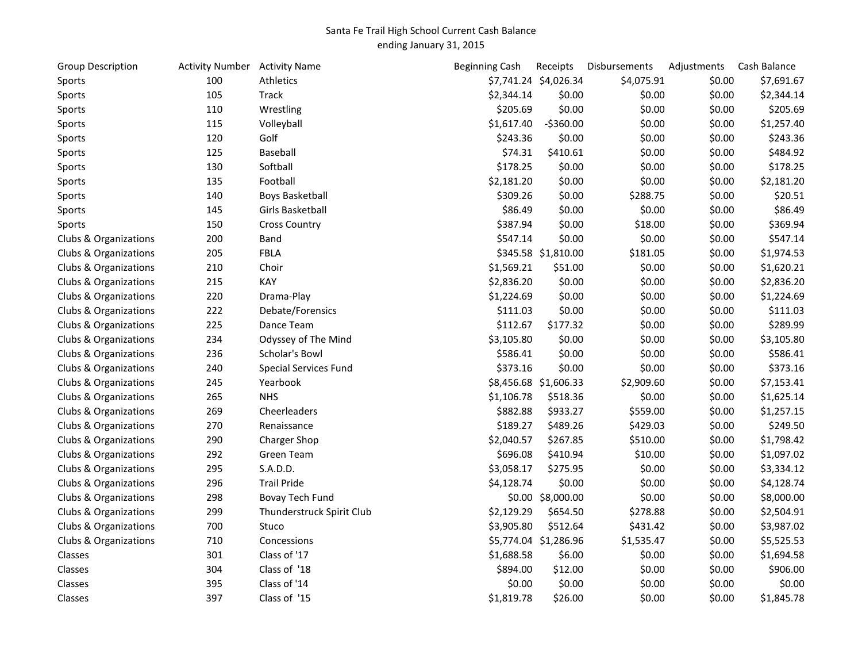## Santa Fe Trail High School Current Cash Balance ending January 31, 2015

| Group Description     | Activity Number Activity Name |                              | <b>Beginning Cash</b> | Receipts              | Disbursements | Adjustments | Cash Balance |
|-----------------------|-------------------------------|------------------------------|-----------------------|-----------------------|---------------|-------------|--------------|
| Sports                | 100                           | Athletics                    |                       | \$7,741.24 \$4,026.34 | \$4,075.91    | \$0.00      | \$7,691.67   |
| Sports                | 105                           | Track                        | \$2,344.14            | \$0.00                | \$0.00        | \$0.00      | \$2,344.14   |
| Sports                | 110                           | Wrestling                    | \$205.69              | \$0.00                | \$0.00        | \$0.00      | \$205.69     |
| Sports                | 115                           | Volleyball                   | \$1,617.40            | $-5360.00$            | \$0.00        | \$0.00      | \$1,257.40   |
| Sports                | 120                           | Golf                         | \$243.36              | \$0.00                | \$0.00        | \$0.00      | \$243.36     |
| Sports                | 125                           | Baseball                     | \$74.31               | \$410.61              | \$0.00        | \$0.00      | \$484.92     |
| Sports                | 130                           | Softball                     | \$178.25              | \$0.00                | \$0.00        | \$0.00      | \$178.25     |
| Sports                | 135                           | Football                     | \$2,181.20            | \$0.00                | \$0.00        | \$0.00      | \$2,181.20   |
| Sports                | 140                           | <b>Boys Basketball</b>       | \$309.26              | \$0.00                | \$288.75      | \$0.00      | \$20.51      |
| Sports                | 145                           | Girls Basketball             | \$86.49               | \$0.00                | \$0.00        | \$0.00      | \$86.49      |
| Sports                | 150                           | <b>Cross Country</b>         | \$387.94              | \$0.00                | \$18.00       | \$0.00      | \$369.94     |
| Clubs & Organizations | 200                           | Band                         | \$547.14              | \$0.00                | \$0.00        | \$0.00      | \$547.14     |
| Clubs & Organizations | 205                           | <b>FBLA</b>                  |                       | \$345.58 \$1,810.00   | \$181.05      | \$0.00      | \$1,974.53   |
| Clubs & Organizations | 210                           | Choir                        | \$1,569.21            | \$51.00               | \$0.00        | \$0.00      | \$1,620.21   |
| Clubs & Organizations | 215                           | KAY                          | \$2,836.20            | \$0.00                | \$0.00        | \$0.00      | \$2,836.20   |
| Clubs & Organizations | 220                           | Drama-Play                   | \$1,224.69            | \$0.00                | \$0.00        | \$0.00      | \$1,224.69   |
| Clubs & Organizations | 222                           | Debate/Forensics             | \$111.03              | \$0.00                | \$0.00        | \$0.00      | \$111.03     |
| Clubs & Organizations | 225                           | Dance Team                   | \$112.67              | \$177.32              | \$0.00        | \$0.00      | \$289.99     |
| Clubs & Organizations | 234                           | Odyssey of The Mind          | \$3,105.80            | \$0.00                | \$0.00        | \$0.00      | \$3,105.80   |
| Clubs & Organizations | 236                           | Scholar's Bowl               | \$586.41              | \$0.00                | \$0.00        | \$0.00      | \$586.41     |
| Clubs & Organizations | 240                           | <b>Special Services Fund</b> | \$373.16              | \$0.00                | \$0.00        | \$0.00      | \$373.16     |
| Clubs & Organizations | 245                           | Yearbook                     |                       | \$8,456.68 \$1,606.33 | \$2,909.60    | \$0.00      | \$7,153.41   |
| Clubs & Organizations | 265                           | <b>NHS</b>                   | \$1,106.78            | \$518.36              | \$0.00        | \$0.00      | \$1,625.14   |
| Clubs & Organizations | 269                           | Cheerleaders                 | \$882.88              | \$933.27              | \$559.00      | \$0.00      | \$1,257.15   |
| Clubs & Organizations | 270                           | Renaissance                  | \$189.27              | \$489.26              | \$429.03      | \$0.00      | \$249.50     |
| Clubs & Organizations | 290                           | Charger Shop                 | \$2,040.57            | \$267.85              | \$510.00      | \$0.00      | \$1,798.42   |
| Clubs & Organizations | 292                           | <b>Green Team</b>            | \$696.08              | \$410.94              | \$10.00       | \$0.00      | \$1,097.02   |
| Clubs & Organizations | 295                           | S.A.D.D.                     | \$3,058.17            | \$275.95              | \$0.00        | \$0.00      | \$3,334.12   |
| Clubs & Organizations | 296                           | <b>Trail Pride</b>           | \$4,128.74            | \$0.00                | \$0.00        | \$0.00      | \$4,128.74   |
| Clubs & Organizations | 298                           | Bovay Tech Fund              |                       | \$0.00 \$8,000.00     | \$0.00        | \$0.00      | \$8,000.00   |
| Clubs & Organizations | 299                           | Thunderstruck Spirit Club    | \$2,129.29            | \$654.50              | \$278.88      | \$0.00      | \$2,504.91   |
| Clubs & Organizations | 700                           | Stuco                        | \$3,905.80            | \$512.64              | \$431.42      | \$0.00      | \$3,987.02   |
| Clubs & Organizations | 710                           | Concessions                  |                       | \$5,774.04 \$1,286.96 | \$1,535.47    | \$0.00      | \$5,525.53   |
| Classes               | 301                           | Class of '17                 | \$1,688.58            | \$6.00                | \$0.00        | \$0.00      | \$1,694.58   |
| Classes               | 304                           | Class of '18                 | \$894.00              | \$12.00               | \$0.00        | \$0.00      | \$906.00     |
| Classes               | 395                           | Class of '14                 | \$0.00                | \$0.00                | \$0.00        | \$0.00      | \$0.00       |
| Classes               | 397                           | Class of '15                 | \$1,819.78            | \$26.00               | \$0.00        | \$0.00      | \$1,845.78   |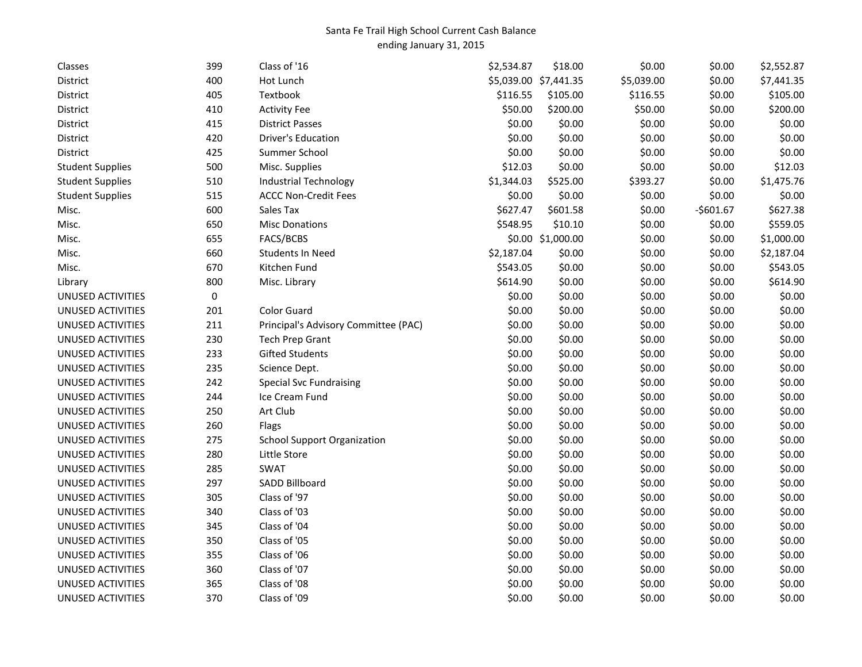## Santa Fe Trail High School Current Cash Balance ending January 31, 2015

| Classes                  | 399       | Class of '16                         | \$2,534.87 | \$18.00               | \$0.00     | \$0.00     | \$2,552.87 |
|--------------------------|-----------|--------------------------------------|------------|-----------------------|------------|------------|------------|
| District                 | 400       | Hot Lunch                            |            | \$5,039.00 \$7,441.35 | \$5,039.00 | \$0.00     | \$7,441.35 |
| District                 | 405       | Textbook                             | \$116.55   | \$105.00              | \$116.55   | \$0.00     | \$105.00   |
| District                 | 410       | <b>Activity Fee</b>                  | \$50.00    | \$200.00              | \$50.00    | \$0.00     | \$200.00   |
| District                 | 415       | <b>District Passes</b>               | \$0.00     | \$0.00                | \$0.00     | \$0.00     | \$0.00     |
| District                 | 420       | Driver's Education                   | \$0.00     | \$0.00                | \$0.00     | \$0.00     | \$0.00     |
| District                 | 425       | Summer School                        | \$0.00     | \$0.00                | \$0.00     | \$0.00     | \$0.00     |
| <b>Student Supplies</b>  | 500       | Misc. Supplies                       | \$12.03    | \$0.00                | \$0.00     | \$0.00     | \$12.03    |
| <b>Student Supplies</b>  | 510       | <b>Industrial Technology</b>         | \$1,344.03 | \$525.00              | \$393.27   | \$0.00     | \$1,475.76 |
| <b>Student Supplies</b>  | 515       | <b>ACCC Non-Credit Fees</b>          | \$0.00     | \$0.00                | \$0.00     | \$0.00     | \$0.00     |
| Misc.                    | 600       | Sales Tax                            | \$627.47   | \$601.58              | \$0.00     | $-$601.67$ | \$627.38   |
| Misc.                    | 650       | <b>Misc Donations</b>                | \$548.95   | \$10.10               | \$0.00     | \$0.00     | \$559.05   |
| Misc.                    | 655       | FACS/BCBS                            |            | \$0.00 \$1,000.00     | \$0.00     | \$0.00     | \$1,000.00 |
| Misc.                    | 660       | <b>Students In Need</b>              | \$2,187.04 | \$0.00                | \$0.00     | \$0.00     | \$2,187.04 |
| Misc.                    | 670       | Kitchen Fund                         | \$543.05   | \$0.00                | \$0.00     | \$0.00     | \$543.05   |
| Library                  | 800       | Misc. Library                        | \$614.90   | \$0.00                | \$0.00     | \$0.00     | \$614.90   |
| UNUSED ACTIVITIES        | $\pmb{0}$ |                                      | \$0.00     | \$0.00                | \$0.00     | \$0.00     | \$0.00     |
| UNUSED ACTIVITIES        | 201       | <b>Color Guard</b>                   | \$0.00     | \$0.00                | \$0.00     | \$0.00     | \$0.00     |
| UNUSED ACTIVITIES        | 211       | Principal's Advisory Committee (PAC) | \$0.00     | \$0.00                | \$0.00     | \$0.00     | \$0.00     |
| UNUSED ACTIVITIES        | 230       | <b>Tech Prep Grant</b>               | \$0.00     | \$0.00                | \$0.00     | \$0.00     | \$0.00     |
| UNUSED ACTIVITIES        | 233       | <b>Gifted Students</b>               | \$0.00     | \$0.00                | \$0.00     | \$0.00     | \$0.00     |
| UNUSED ACTIVITIES        | 235       | Science Dept.                        | \$0.00     | \$0.00                | \$0.00     | \$0.00     | \$0.00     |
| UNUSED ACTIVITIES        | 242       | <b>Special Svc Fundraising</b>       | \$0.00     | \$0.00                | \$0.00     | \$0.00     | \$0.00     |
| UNUSED ACTIVITIES        | 244       | Ice Cream Fund                       | \$0.00     | \$0.00                | \$0.00     | \$0.00     | \$0.00     |
| UNUSED ACTIVITIES        | 250       | Art Club                             | \$0.00     | \$0.00                | \$0.00     | \$0.00     | \$0.00     |
| UNUSED ACTIVITIES        | 260       | Flags                                | \$0.00     | \$0.00                | \$0.00     | \$0.00     | \$0.00     |
| UNUSED ACTIVITIES        | 275       | <b>School Support Organization</b>   | \$0.00     | \$0.00                | \$0.00     | \$0.00     | \$0.00     |
| UNUSED ACTIVITIES        | 280       | Little Store                         | \$0.00     | \$0.00                | \$0.00     | \$0.00     | \$0.00     |
| UNUSED ACTIVITIES        | 285       | <b>SWAT</b>                          | \$0.00     | \$0.00                | \$0.00     | \$0.00     | \$0.00     |
| UNUSED ACTIVITIES        | 297       | SADD Billboard                       | \$0.00     | \$0.00                | \$0.00     | \$0.00     | \$0.00     |
| UNUSED ACTIVITIES        | 305       | Class of '97                         | \$0.00     | \$0.00                | \$0.00     | \$0.00     | \$0.00     |
| UNUSED ACTIVITIES        | 340       | Class of '03                         | \$0.00     | \$0.00                | \$0.00     | \$0.00     | \$0.00     |
| UNUSED ACTIVITIES        | 345       | Class of '04                         | \$0.00     | \$0.00                | \$0.00     | \$0.00     | \$0.00     |
| <b>UNUSED ACTIVITIES</b> | 350       | Class of '05                         | \$0.00     | \$0.00                | \$0.00     | \$0.00     | \$0.00     |
| UNUSED ACTIVITIES        | 355       | Class of '06                         | \$0.00     | \$0.00                | \$0.00     | \$0.00     | \$0.00     |
| UNUSED ACTIVITIES        | 360       | Class of '07                         | \$0.00     | \$0.00                | \$0.00     | \$0.00     | \$0.00     |
| <b>UNUSED ACTIVITIES</b> | 365       | Class of '08                         | \$0.00     | \$0.00                | \$0.00     | \$0.00     | \$0.00     |
| UNUSED ACTIVITIES        | 370       | Class of '09                         | \$0.00     | \$0.00                | \$0.00     | \$0.00     | \$0.00     |